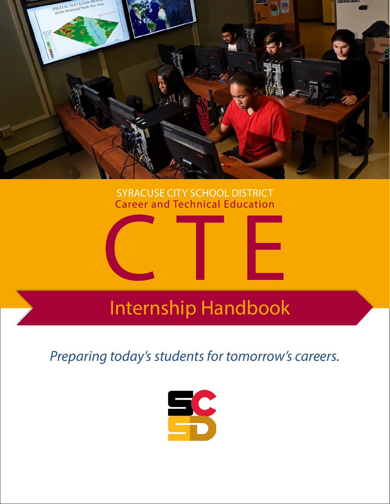

## SYRACUSE CITY SCHOOL DISTRICT Career and Technical Education



## Internship Handbook

*Preparing today's students for tomorrow's careers.*

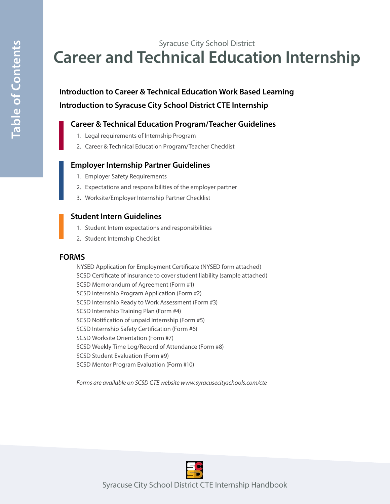## Syracuse City School District **Career and Technical Education Internship**

## **Introduction to Career & Technical Education Work Based Learning Introduction to Syracuse City School District CTE Internship**

#### **Career & Technical Education Program/Teacher Guidelines**

- 1. Legal requirements of Internship Program
- 2. Career & Technical Education Program/Teacher Checklist

#### **Employer Internship Partner Guidelines**

- 1. Employer Safety Requirements
- 2. Expectations and responsibilities of the employer partner
- 3. Worksite/Employer Internship Partner Checklist

#### **Student Intern Guidelines**

- 1. Student Intern expectations and responsibilities
- 2. Student Internship Checklist

#### **FORMS**

NYSED Application for Employment Certificate (NYSED form attached) SCSD Certificate of insurance to cover student liability (sample attached) SCSD Memorandum of Agreement (Form #1) SCSD Internship Program Application (Form #2) SCSD Internship Ready to Work Assessment (Form #3) SCSD Internship Training Plan (Form #4) SCSD Notification of unpaid internship (Form #5) SCSD Internship Safety Certification (Form #6) SCSD Worksite Orientation (Form #7) SCSD Weekly Time Log/Record of Attendance (Form #8) SCSD Student Evaluation (Form #9) SCSD Mentor Program Evaluation (Form #10)

*Forms are available on SCSD CTE website www.syracusecityschools.com/cte*



Syracuse City School District CTE Internship Handbook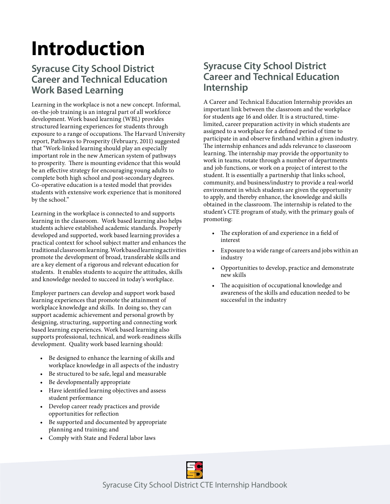## **Introduction**

## **Syracuse City School District Career and Technical Education Work Based Learning**

Learning in the workplace is not a new concept. Informal, on-the-job training is an integral part of all workforce development. Work based learning (WBL) provides structured learning experiences for students through exposure to a range of occupations. The Harvard University report, Pathways to Prosperity (February, 2011) suggested that "Work-linked learning should play an especially important role in the new American system of pathways to prosperity. There is mounting evidence that this would be an effective strategy for encouraging young adults to complete both high school and post-secondary degrees. Co-operative education is a tested model that provides students with extensive work experience that is monitored by the school."

Learning in the workplace is connected to and supports learning in the classroom. Work based learning also helps students achieve established academic standards. Properly developed and supported, work based learning provides a practical context for school subject matter and enhances the traditional classroom learning. Work based learning activities promote the development of broad, transferable skills and are a key element of a rigorous and relevant education for students. It enables students to acquire the attitudes, skills and knowledge needed to succeed in today's workplace.

Employer partners can develop and support work based learning experiences that promote the attainment of workplace knowledge and skills. In doing so, they can support academic achievement and personal growth by designing, structuring, supporting and connecting work based learning experiences. Work based learning also supports professional, technical, and work-readiness skills development. Quality work based learning should:

- Be designed to enhance the learning of skills and workplace knowledge in all aspects of the industry
- Be structured to be safe, legal and measurable
- Be developmentally appropriate
- Have identified learning objectives and assess student performance
- Develop career ready practices and provide opportunities for reflection
- Be supported and documented by appropriate planning and training; and
- Comply with State and Federal labor laws

## **Syracuse City School District Career and Technical Education Internship**

A Career and Technical Education Internship provides an important link between the classroom and the workplace for students age 16 and older. It is a structured, timelimited, career preparation activity in which students are assigned to a workplace for a defined period of time to participate in and observe firsthand within a given industry. The internship enhances and adds relevance to classroom learning. The internship may provide the opportunity to work in teams, rotate through a number of departments and job functions, or work on a project of interest to the student. It is essentially a partnership that links school, community, and business/industry to provide a real-world environment in which students are given the opportunity to apply, and thereby enhance, the knowledge and skills obtained in the classroom. The internship is related to the student's CTE program of study, with the primary goals of promoting:

- The exploration of and experience in a field of interest
- Exposure to a wide range of careers and jobs within an industry
- Opportunities to develop, practice and demonstrate new skills
- The acquisition of occupational knowledge and awareness of the skills and education needed to be successful in the industry

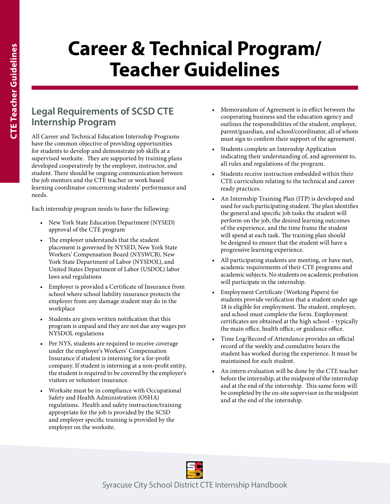## **Career & Technical Program/ Teacher Guidelines**

## **Legal Requirements of SCSD CTE Internship Program**

All Career and Technical Education Internship Programs have the common objective of providing opportunities for students to develop and demonstrate job skills at a supervised worksite. They are supported by training plans developed cooperatively by the employer, instructor, and student. There should be ongoing communication between the job mentors and the CTE teacher or work based learning coordinator concerning students' performance and needs.

Each internship program needs to have the following:

- New York State Education Department (NYSED) approval of the CTE program
- The employer understands that the student placement is governed by NYSED, New York State Workers' Compensation Board (NYSWCB), New York State Department of Labor (NYSDOL), and United States Department of Labor (USDOL) labor laws and regulations
- Employer is provided a Certificate of Insurance from school where school liability insurance protects the employer from any damage student may do in the workplace
- Students are given written notification that this program is unpaid and they are not due any wages per NYSDOL regulations
- Per NYS, students are required to receive coverage under the employer's Workers' Compensation Insurance if student is interning for a for-profit company. If student is interning at a non-profit entity, the student is required to be covered by the employer's visitors or volunteer insurance.
- Worksite must be in compliance with Occupational Safety and Health Administration (OSHA) regulations. Health and safety instruction/training appropriate for the job is provided by the SCSD and employer specific training is provided by the employer on the worksite.
- Memorandum of Agreement is in effect between the cooperating business and the education agency and outlines the responsibilities of the student, employer, parent/guardian, and school/coordinator, all of whom must sign to confirm their support of the agreement.
- Students complete an Internship Application indicating their understanding of, and agreement to, all rules and regulations of the program.
- Students receive instruction embedded within their CTE curriculum relating to the technical and career ready practices.
- An Internship Training Plan (ITP) is developed and used for each participating student. The plan identifies the general and specific job tasks the student will perform on the job, the desired learning outcomes of the experience, and the time frame the student will spend at each task. The training plan should be designed to ensure that the student will have a progressive learning experience.
- All participating students are meeting, or have met, academic requirements of their CTE programs and academic subjects. No students on academic probation will participate in the internship.
- Employment Certificate (Working Papers) for students provide verification that a student under age 18 is eligible for employment. The student, employer, and school must complete the form. Employment certificates are obtained at the high school – typically the main office, health office, or guidance office.
- Time Log/Record of Attendance provides an official record of the weekly and cumulative hours the student has worked during the experience. It must be maintained for each student.
- An intern evaluation will be done by the CTE teacher before the internship, at the midpoint of the internship and at the end of the internship. This same form will be completed by the on-site supervisor in the midpoint and at the end of the internship.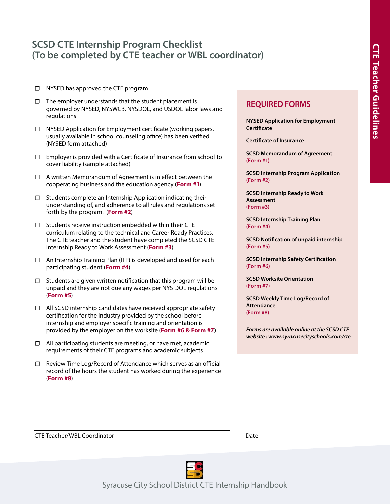### **SCSD CTE Internship Program Checklist (To be completed by CTE teacher or WBL coordinator)**

- ☐ NYSED has approved the CTE program
- ☐ The employer understands that the student placement is governed by NYSED, NYSWCB, NYSDOL, and USDOL labor laws and regulations
- ☐ NYSED Application for Employment certificate (working papers, usually available in school counseling office) has been verified (NYSED form attached)
- ☐ Employer is provided with a Certificate of Insurance from school to cover liability (sample attached)
- ☐ A written Memorandum of Agreement is in effect between the cooperating business and the education agency (**Form #1**)
- ☐ Students complete an Internship Application indicating their understanding of, and adherence to all rules and regulations set forth by the program. (**Form #2**)
- $\Box$  Students receive instruction embedded within their CTE curriculum relating to the technical and Career Ready Practices. The CTE teacher and the student have completed the SCSD CTE Internship Ready to Work Assessment (**Form #3**)
- ☐ An Internship Training Plan (ITP) is developed and used for each participating student (**Form #4**)
- $\Box$  Students are given written notification that this program will be unpaid and they are not due any wages per NYS DOL regulations (**Form #5**)
- ☐ All SCSD internship candidates have received appropriate safety certification for the industry provided by the school before internship and employer specific training and orientation is provided by the employer on the worksite (**Form #6 & Form #7**)
- ☐ All participating students are meeting, or have met, academic requirements of their CTE programs and academic subjects
- ☐ Review Time Log/Record of Attendance which serves as an official record of the hours the student has worked during the experience (**Form #8**)

#### **REQUIRED FORMS**

**NYSED Application for Employment Certificate**

**Certificate of Insurance**

**SCSD Memorandum of Agreement (Form #1)**

**SCSD Internship Program Application (Form #2)**

**SCSD Internship Ready to Work Assessment (Form #3)**

**SCSD Internship Training Plan (Form #4)**

**SCSD Notification of unpaid internship (Form #5)**

**SCSD Internship Safety Certification (Form #6)**

**SCSD Worksite Orientation (Form #7)**

**SCSD Weekly Time Log/Record of Attendance (Form #8)**

*Forms are available online at the SCSD CTE website : www.syracusecityschools.com/cte*

**CTE Teacher/WBL Coordinator COOP COOP COOP COOP COOP COOP** 



Syracuse City School District CTE Internship Handbook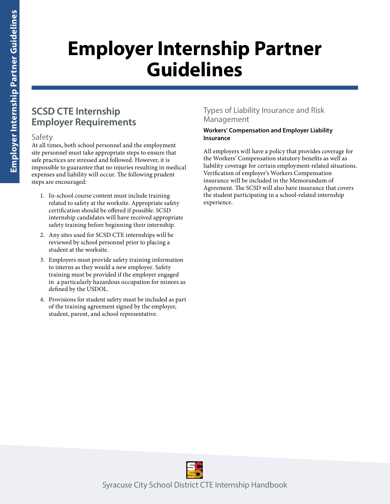## **Employer Internship Partner Guidelines**

## **SCSD CTE Internship Employer Requirements**

#### Safety

At all times, both school personnel and the employment site personnel must take appropriate steps to ensure that safe practices are stressed and followed. However, it is impossible to guarantee that no injuries resulting in medical expenses and liability will occur. The following prudent steps are encouraged:

- 1. In-school course content must include training related to safety at the worksite. Appropriate safety certification should be offered if possible. SCSD internship candidates will have received appropriate safety training before beginning their internship.
- 2. Any sites used for SCSD CTE internships will be reviewed by school personnel prior to placing a student at the worksite.
- 3. Employers must provide safety training information to interns as they would a new employee. Safety training must be provided if the employer engaged in a particularly hazardous occupation for minors as defined by the USDOL.
- 4. Provisions for student safety must be included as part of the training agreement signed by the employer, student, parent, and school representative.

#### Types of Liability Insurance and Risk Management

#### **Workers' Compensation and Employer Liability Insurance**

All employers will have a policy that provides coverage for the Workers' Compensation statutory benefits as well as liability coverage for certain employment-related situations. Verification of employer's Workers Compensation insurance will be included in the Memorandum of Agreement. The SCSD will also have insurance that covers the student participating in a school-related internship experience.

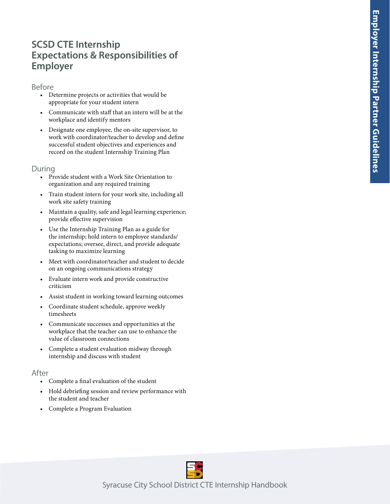### **SCSD CTE Internship Expectations & Responsibilities of Employer**

#### Before

- Determine projects or activities that would be appropriate for your student intern
- Communicate with staff that an intern will be at the workplace and identify mentors
- Designate one employee, the on-site supervisor, to work with coordinator/teacher to develop and define successful student objectives and experiences and record on the student Internship Training Plan

#### During

- Provide student with a Work Site Orientation to organization and any required training
- Train student intern for your work site, including all work site safety training
- Maintain a quality, safe and legal learning experience; provide effective supervision
- Use the Internship Training Plan as a guide for the internship; hold intern to employee standards/ expectations; oversee, direct, and provide adequate tasking to maximize learning
- Meet with coordinator/teacher and student to decide on an ongoing communications strategy
- Evaluate intern work and provide constructive criticism
- Assist student in working toward learning outcomes
- Coordinate student schedule, approve weekly timesheets
- Communicate successes and opportunities at the workplace that the teacher can use to enhance the value of classroom connections
- Complete a student evaluation midway through internship and discuss with student

#### After

- 
- Complete a final evaluation of the student<br>• Hold debriefing session and review performance with the student and teacher
- Complete a Program Evaluation

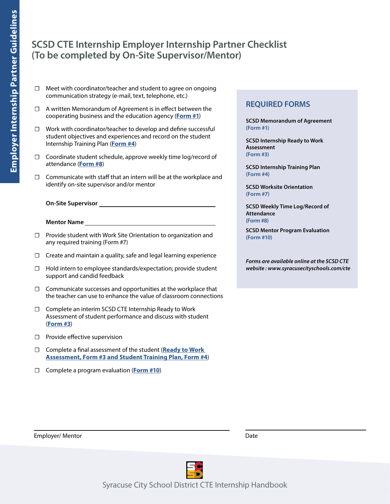## **SCSD CTE Internship Employer Internship Partner Checklist (To be completed by On-Site Supervisor/Mentor)**

- ☐ Meet with coordinator/teacher and student to agree on ongoing communication strategy (e-mail, text, telephone, etc.)
- ☐ A written Memorandum of Agreement is in effect between the cooperating business and the education agency (**Form #1**)
- ☐ Work with coordinator/teacher to develop and define successful student objectives and experiences and record on the student Internship Training Plan (**Form #4**)
- ☐ Coordinate student schedule, approve weekly time log/record of attendance (**Form #8**)
- $\Box$  Communicate with staff that an intern will be at the workplace and identify on-site supervisor and/or mentor
	- **On-Site Supervisor**
	- **Mentor Name**
- ☐ Provide student with Work Site Orientation to organization and any required training (Form #7)
- □ Create and maintain a quality, safe and legal learning experience
- ☐ Hold intern to employee standards/expectation; provide student support and candid feedback
- ☐ Communicate successes and opportunities at the workplace that the teacher can use to enhance the value of classroom connections
- ☐ Complete an interim SCSD CTE Internship Ready to Work Assessment of student performance and discuss with student (**Form #3**)
- ☐ Provide effective supervision
- ☐ Complete a final assessment of the student (**Ready to Work Assessment, Form #3 and Student Training Plan, Form #4**)
- ☐ Complete a program evaluation (**Form #10**)

#### **REQUIRED FORMS**

**SCSD Memorandum of Agreement (Form #1)**

**SCSD Internship Ready to Work Assessment (Form #3)**

**SCSD Internship Training Plan (Form #4)**

**SCSD Worksite Orientation (Form #7)**

**SCSD Weekly Time Log/Record of Attendance (Form #8)**

**SCSD Mentor Program Evaluation (Form #10)**

*Forms are available online at the SCSD CTE website : www.syracusecityschools.com/cte*





Syracuse City School District CTE Internship Handbook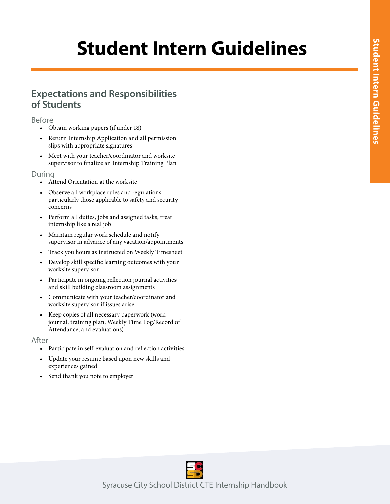## **Student Intern Guidelines**

### **Expectations and Responsibilities of Students**

#### Before

- Obtain working papers (if under 18)
- Return Internship Application and all permission slips with appropriate signatures
- Meet with your teacher/coordinator and worksite supervisor to finalize an Internship Training Plan

#### During

- Attend Orientation at the worksite
- Observe all workplace rules and regulations particularly those applicable to safety and security concerns
- Perform all duties, jobs and assigned tasks; treat internship like a real job
- Maintain regular work schedule and notify supervisor in advance of any vacation/appointments
- Track you hours as instructed on Weekly Timesheet
- Develop skill specific learning outcomes with your worksite supervisor
- Participate in ongoing reflection journal activities and skill building classroom assignments
- Communicate with your teacher/coordinator and worksite supervisor if issues arise
- Keep copies of all necessary paperwork (work journal, training plan, Weekly Time Log/Record of Attendance, and evaluations)

#### After

- Participate in self-evaluation and reflection activities
- Update your resume based upon new skills and experiences gained
- Send thank you note to employer

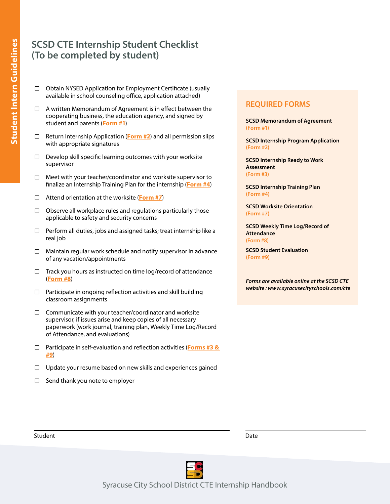## **SCSD CTE Internship Student Checklist (To be completed by student)**

- ☐ Obtain NYSED Application for Employment Certificate (usually available in school counseling office, application attached)
- ☐ A written Memorandum of Agreement is in effect between the cooperating business, the education agency, and signed by student and parents (**Form #1**)
- ☐ Return Internship Application (**Form #2**) and all permission slips with appropriate signatures
- ☐ Develop skill specific learning outcomes with your worksite supervisor
- ☐ Meet with your teacher/coordinator and worksite supervisor to finalize an Internship Training Plan for the internship (**Form #4**)
- ☐ Attend orientation at the worksite (**Form #7**)
- ☐ Observe all workplace rules and regulations particularly those applicable to safety and security concerns
- ☐ Perform all duties, jobs and assigned tasks; treat internship like a real job
- ☐ Maintain regular work schedule and notify supervisor in advance of any vacation/appointments
- $\Box$  Track you hours as instructed on time log/record of attendance (**Form #8**)
- $\Box$  Participate in ongoing reflection activities and skill building classroom assignments
- ☐ Communicate with your teacher/coordinator and worksite supervisor, if issues arise and keep copies of all necessary paperwork (work journal, training plan, Weekly Time Log/Record of Attendance, and evaluations)
- ☐ Participate in self-evaluation and reflection activities (**Forms #3 & #9**)
- ☐ Update your resume based on new skills and experiences gained
- ☐ Send thank you note to employer

#### **REQUIRED FORMS**

**SCSD Memorandum of Agreement (Form #1)**

**SCSD Internship Program Application (Form #2)**

**SCSD Internship Ready to Work Assessment (Form #3)**

**SCSD Internship Training Plan (Form #4)**

**SCSD Worksite Orientation (Form #7)**

**SCSD Weekly Time Log/Record of Attendance (Form #8)**

**SCSD Student Evaluation (Form #9)**

*Forms are available online at the SCSD CTE website : www.syracusecityschools.com/cte*





Syracuse City School District CTE Internship Handbook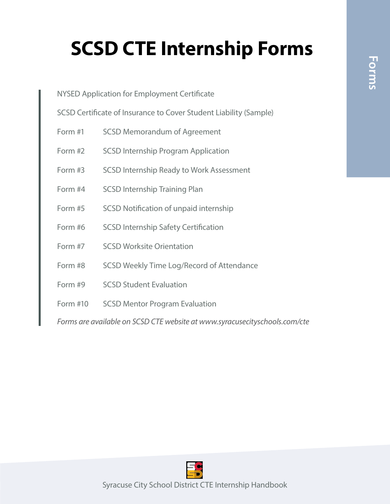# **Forms**

## **SCSD CTE Internship Forms**

| NYSED Application for Employment Certificate                               |                                                 |  |  |  |  |  |  |
|----------------------------------------------------------------------------|-------------------------------------------------|--|--|--|--|--|--|
| SCSD Certificate of Insurance to Cover Student Liability (Sample)          |                                                 |  |  |  |  |  |  |
| Form #1                                                                    | <b>SCSD Memorandum of Agreement</b>             |  |  |  |  |  |  |
| Form #2                                                                    | <b>SCSD Internship Program Application</b>      |  |  |  |  |  |  |
| Form #3                                                                    | <b>SCSD Internship Ready to Work Assessment</b> |  |  |  |  |  |  |
| Form #4                                                                    | <b>SCSD Internship Training Plan</b>            |  |  |  |  |  |  |
| Form #5                                                                    | SCSD Notification of unpaid internship          |  |  |  |  |  |  |
| Form #6                                                                    | <b>SCSD Internship Safety Certification</b>     |  |  |  |  |  |  |
| Form #7                                                                    | <b>SCSD Worksite Orientation</b>                |  |  |  |  |  |  |
| Form #8                                                                    | SCSD Weekly Time Log/Record of Attendance       |  |  |  |  |  |  |
| Form #9                                                                    | <b>SCSD Student Evaluation</b>                  |  |  |  |  |  |  |
| Form #10                                                                   | <b>SCSD Mentor Program Evaluation</b>           |  |  |  |  |  |  |
| Forms are available on SCSD CTE website at www.syracusecityschools.com/cte |                                                 |  |  |  |  |  |  |

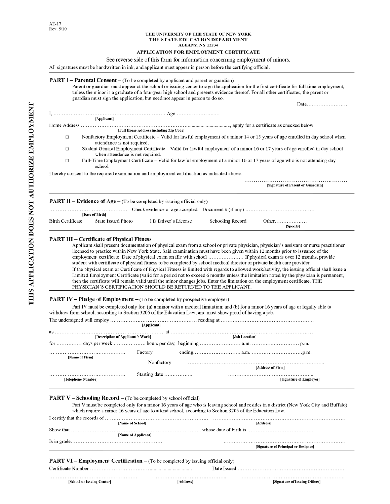#### THE UNIVERSITY OF THE STATE OF NEW YORK THE STATE EDUCATION DEPARTMENT ALBANY, NY 12234

#### APPLICATION FOR EMPLOYMENT CERTIFICATE

#### See reverse side of this form for information concerning employment of minors.

All signatures must be handwritten in ink, and applicant must appear in person before the certifying official.

#### PART I - Parental Consent - (To be completed by applicant and parent or guardian)

Parent or guardian must appear at the school or issuing center to sign the application for the first certificate for full-time employment, unless the minor is a graduate of a four-year high school and presents evidence thereof. For all other certificates, the parent or guardian must sign the application, but need not appear in person to do so. Date........................

|                          | [Applicant]                                                                                                                                                      |                                        |                  |                                                                                                                              |  |  |  |  |  |
|--------------------------|------------------------------------------------------------------------------------------------------------------------------------------------------------------|----------------------------------------|------------------|------------------------------------------------------------------------------------------------------------------------------|--|--|--|--|--|
|                          |                                                                                                                                                                  | [Full Home Address including Zip Code] |                  |                                                                                                                              |  |  |  |  |  |
| $\Box$                   | attendance is not required.                                                                                                                                      |                                        |                  | Nonfactory Employment Certificate – Valid for lawful employment of a minor 14 or 15 years of age enrolled in day school when |  |  |  |  |  |
| □                        | Student General Employment Certificate - Valid for lawful employment of a minor 16 or 17 years of age enrolled in day school<br>when attendance is not required. |                                        |                  |                                                                                                                              |  |  |  |  |  |
| □                        | school.                                                                                                                                                          |                                        |                  | Full-Time Employment Certificate – Valid for lawful employment of a minor 16 or 17 years of age who is not attending day     |  |  |  |  |  |
|                          | I hereby consent to the required examination and employment certification as indicated above.                                                                    |                                        |                  |                                                                                                                              |  |  |  |  |  |
|                          |                                                                                                                                                                  |                                        |                  | [Signature of Parent or Guardian]                                                                                            |  |  |  |  |  |
|                          | <b>PART II – Evidence of Age –</b> (To be completed by issuing official only)                                                                                    |                                        |                  |                                                                                                                              |  |  |  |  |  |
|                          | [Date of Birth]                                                                                                                                                  |                                        |                  |                                                                                                                              |  |  |  |  |  |
| <b>Birth Certificate</b> | <b>State Issued Photo</b>                                                                                                                                        | I.D Driver's License                   | Schooling Record | Other                                                                                                                        |  |  |  |  |  |

#### **PART III - Certificate of Physical Fitness**

Applicant shall present documentation of physical exam from a school or private physician, physician's assistant or nurse practitioner licensed to practice within New York State. Said examination must have been given within 12 months prior to issuance of the employment certificate. Date of physical exam on file with school ..................... If physical exam is over 12 months, provide student with certificate of physical fitness to be completed by school medical director or private health care provider. If the physical exam or Certificate of Physical Fitness is limited with regards to allowed work/activity, the issuing official shall issue a Limited Employment Certificate (valid for a period not to exceed 6 months unless the limitation noted by the physician is permanent, then the certificate will remain valid until the minor changes jobs. Enter the limitation on the employment certificate. THE PHYSICIAN'S CERTIFICATION SHOULD BE RETURNED TO THE APPLICANT.

[Specify]

[Signature of Issuing Officer]

#### **PART IV** – Pledge of Employment – (To be completed by prospective employer)

Part IV must be completed only for: (a) a minor with a medical limitation; and (b) for a minor 16 years of age or legally able to withdraw from school, according to Section 3205 of the Education Law, and must show proof of having a job.

|                                   | [Applicant]   |                   |                         |
|-----------------------------------|---------------|-------------------|-------------------------|
|                                   |               |                   |                         |
| [Description of Applicant's Work] |               | [Job Location]    |                         |
|                                   |               |                   |                         |
| [Name of Firm]                    | Factory       |                   |                         |
|                                   | Nonfactory    | [Address of Firm] |                         |
| [Telephone Number]                | Starting date |                   | [Signature of Employer] |

#### **PART V - Schooling Record -** (To be completed by school official)

Part V must be completed only for a minor 16 years of age who is leaving school and resides in a district (New York City and Buffalo) which require a minor 16 years of age to attend school, according to Section 3205 of the Education Law.

| [Name of School]                                                                                                                                                                                                                                                                                                                     | [Address]                            |  |  |  |  |  |
|--------------------------------------------------------------------------------------------------------------------------------------------------------------------------------------------------------------------------------------------------------------------------------------------------------------------------------------|--------------------------------------|--|--|--|--|--|
| Show that $\ldots$ $\ldots$ $\ldots$ $\ldots$ $\ldots$ $\ldots$ $\ldots$ $\ldots$ $\ldots$ $\ldots$ $\ldots$ $\ldots$ $\ldots$ $\ldots$ $\ldots$ $\ldots$ $\ldots$ $\ldots$ $\ldots$ $\ldots$ $\ldots$ $\ldots$ $\ldots$ $\ldots$ $\ldots$ $\ldots$ $\ldots$ $\ldots$ $\ldots$ $\ldots$ $\ldots$ $\ldots$ $\ldots$ $\ldots$ $\ldots$ |                                      |  |  |  |  |  |
| [Name of Applicant]                                                                                                                                                                                                                                                                                                                  |                                      |  |  |  |  |  |
|                                                                                                                                                                                                                                                                                                                                      | [Signature of Principal or Designee] |  |  |  |  |  |

#### PART VI - Employment Certification - (To be completed by issuing official only)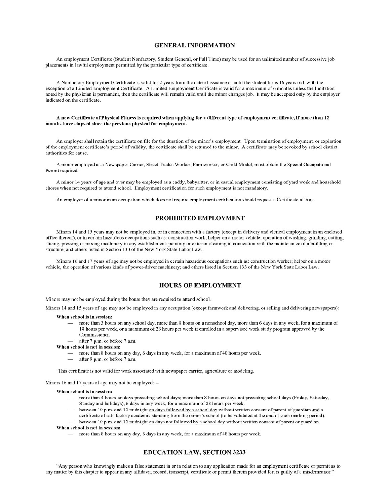#### **GENERAL INFORMATION**

An employment Certificate (Student Nonfactory, Student General, or Full Time) may be used for an unlimited number of successive job placements in lawful employment permitted by the particular type of certificate.

A Nonfactory Employment Certificate is valid for 2 years from the date of issuance or until the student turns 16 years old, with the exception of a Limited Employment Certificate. A Limited Employment Certificate is valid for a maximum of 6 months unless the limitation noted by the physician is permanent, then the certificate will remain valid until the minor changes job. It may be accepted only by the employer indicated on the certificate.

#### A new Certificate of Physical Fitness is required when applying for a different type of employment certificate, if more than 12 months have elapsed since the previous physical for employment.

An employer shall retain the certificate on file for the duration of the minor's employment. Upon termination of employment, or expiration of the employment certificate's period of validity, the certificate shall be returned to the minor. A certificate may be revoked by school district authorities for cause.

A minor employed as a Newspaper Carrier, Street Trades Worker, Farmworker, or Child Model, must obtain the Special Occupational Permit required.

A minor 14 years of age and over may be employed as a caddy, babysitter, or in casual employment consisting of yard work and household chores when not required to attend school. Employment certification for such employment is not mandatory.

An employer of a minor in an occupation which does not require employment certification should request a Certificate of Age.

#### PROHIBITED EMPLOYMENT

Minors 14 and 15 years may not be employed in, or in connection with a factory (except in delivery and clerical employment in an enclosed office thereof), or in certain hazardous occupations such as: construction work; helper on a motor vehicle; operation of washing, grinding, cutting, slicing, pressing or mixing machinery in any establishment; painting or exterior cleaning in connection with the maintenance of a building or structure; and others listed in Section 133 of the New York State Labor Law.

Minors 16 and 17 years of age may not be employed in certain hazardous occupations such as: construction worker; helper on a motor vehicle, the operation of various kinds of power-driver machinery; and others listed in Section 133 of the New York State Labor Law.

#### **HOURS OF EMPLOYMENT**

Minors may not be employed during the hours they are required to attend school.

Minors 14 and 15 years of age may not be employed in any occupation (except farmwork and delivering, or selling and delivering newspapers):

#### When school is in session:

- more than 3 hours on any school day, more than 8 hours on a nonschool day, more than 6 days in any week, for a maximum of 18 hours per week, or a maximum of 23 hours per week if enrolled in a supervised work study program approved by the Commissioner.
- after 7 p.m. or before 7 a.m.

#### When school is not in session:

- more than 8 hours on any day, 6 days in any week, for a maximum of 40 hours per week.
- after 9 p.m. or before 7 a.m.

This certificate is not valid for work associated with newspaper carrier, agriculture or modeling.

Minors 16 and 17 years of age may not be employed: --

#### When school is in session:

- more than 4 hours on days preceding school days; more than 8 hours on days not preceding school days (Friday, Saturday, Sunday and holidays), 6 days in any week, for a maximum of 28 hours per week.
- between 10 p.m. and 12 midnight on days followed by a school day without written consent of parent of guardian and a certificate of satisfactory academic standing from the minor's school (to be validated at the end of each marking period).

#### between 10 p.m. and 12 midnight on days not followed by a school day without written consent of parent or guardian. When school is not in session:

more than 8 hours on any day, 6 days in any week, for a maximum of 48 hours per week.

#### **EDUCATION LAW, SECTION 3233**

"Any person who knowingly makes a false statement in or in relation to any application made for an employment certificate or permit as to any matter by this chapter to appear in any affidavit, record, transcript, certificate or permit therein provided for, is guilty of a misdemeanor."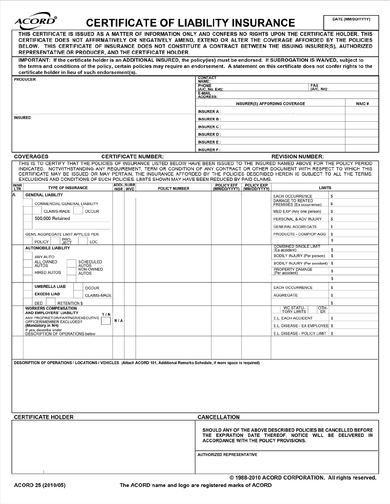| <i>ACORD</i><br><b>CERTIFICATE OF LIABILITY INSURANCE</b> |                                                                                                                                                                                                                                                                                                                                                                                                                         |                                                              |                           |     |                              |                                                                                                                                                                                                                                                                                                                                                                                                  |                                 |                                  | DATE (MM/DD/YYYY)          |                                                                                                                                                                      |    |       |
|-----------------------------------------------------------|-------------------------------------------------------------------------------------------------------------------------------------------------------------------------------------------------------------------------------------------------------------------------------------------------------------------------------------------------------------------------------------------------------------------------|--------------------------------------------------------------|---------------------------|-----|------------------------------|--------------------------------------------------------------------------------------------------------------------------------------------------------------------------------------------------------------------------------------------------------------------------------------------------------------------------------------------------------------------------------------------------|---------------------------------|----------------------------------|----------------------------|----------------------------------------------------------------------------------------------------------------------------------------------------------------------|----|-------|
|                                                           | THIS CERTIFICATE IS ISSUED AS A MATTER OF INFORMATION ONLY AND CONFERS NO RIGHTS UPON THE CERTIFICATE HOLDER. THIS<br>CERTIFICATE DOES NOT AFFIRMATIVELY OR NEGATIVELY AMEND, EXTEND OR ALTER THE COVERAGE AFFORDED BY THE POLICIES<br>BELOW. THIS CERTIFICATE OF INSURANCE DOES NOT CONSTITUTE A CONTRACT BETWEEN THE ISSUING INSURER(S), AUTHORIZED<br><b>REPRESENTATIVE OR PRODUCER, AND THE CERTIFICATE HOLDER.</b> |                                                              |                           |     |                              |                                                                                                                                                                                                                                                                                                                                                                                                  |                                 |                                  |                            |                                                                                                                                                                      |    |       |
|                                                           |                                                                                                                                                                                                                                                                                                                                                                                                                         | certificate holder in lieu of such endorsement(s).           |                           |     |                              | IMPORTANT: If the certificate holder is an ADDITIONAL INSURED, the policy(ies) must be endorsed. If SUBROGATION IS WAIVED, subject to<br>the terms and conditions of the policy, certain policies may require an endorsement. A statement on this certificate does not confer rights to the                                                                                                      |                                 |                                  |                            |                                                                                                                                                                      |    |       |
|                                                           | <b>PRODUCER</b>                                                                                                                                                                                                                                                                                                                                                                                                         |                                                              |                           |     |                              |                                                                                                                                                                                                                                                                                                                                                                                                  | <b>CONTACT</b><br>NAME:         |                                  |                            |                                                                                                                                                                      |    |       |
|                                                           |                                                                                                                                                                                                                                                                                                                                                                                                                         |                                                              |                           |     |                              |                                                                                                                                                                                                                                                                                                                                                                                                  | <b>PHONE</b><br>(A/C, No, Ext): |                                  |                            | FAX<br>(A/C, No):                                                                                                                                                    |    |       |
|                                                           |                                                                                                                                                                                                                                                                                                                                                                                                                         |                                                              |                           |     |                              |                                                                                                                                                                                                                                                                                                                                                                                                  | E-MAIL<br><b>ADDRESS:</b>       |                                  |                            |                                                                                                                                                                      |    |       |
|                                                           |                                                                                                                                                                                                                                                                                                                                                                                                                         |                                                              |                           |     |                              |                                                                                                                                                                                                                                                                                                                                                                                                  |                                 |                                  |                            | <b>INSURER(S) AFFORDING COVERAGE</b>                                                                                                                                 |    | NAIC# |
|                                                           |                                                                                                                                                                                                                                                                                                                                                                                                                         |                                                              |                           |     |                              |                                                                                                                                                                                                                                                                                                                                                                                                  | <b>INSURER A:</b>               |                                  |                            |                                                                                                                                                                      |    |       |
| <b>INSURED</b>                                            |                                                                                                                                                                                                                                                                                                                                                                                                                         |                                                              |                           |     |                              |                                                                                                                                                                                                                                                                                                                                                                                                  | <b>INSURER B:</b>               |                                  |                            |                                                                                                                                                                      |    |       |
|                                                           |                                                                                                                                                                                                                                                                                                                                                                                                                         |                                                              |                           |     |                              |                                                                                                                                                                                                                                                                                                                                                                                                  | <b>INSURER C:</b>               |                                  |                            |                                                                                                                                                                      |    |       |
|                                                           |                                                                                                                                                                                                                                                                                                                                                                                                                         |                                                              |                           |     |                              |                                                                                                                                                                                                                                                                                                                                                                                                  | <b>INSURER D:</b>               |                                  |                            |                                                                                                                                                                      |    |       |
|                                                           |                                                                                                                                                                                                                                                                                                                                                                                                                         |                                                              |                           |     |                              |                                                                                                                                                                                                                                                                                                                                                                                                  | <b>INSURER E:</b>               |                                  |                            |                                                                                                                                                                      |    |       |
|                                                           |                                                                                                                                                                                                                                                                                                                                                                                                                         |                                                              |                           |     |                              |                                                                                                                                                                                                                                                                                                                                                                                                  | <b>INSURER F:</b>               |                                  |                            |                                                                                                                                                                      |    |       |
|                                                           |                                                                                                                                                                                                                                                                                                                                                                                                                         | <b>COVERAGES</b>                                             |                           |     |                              | <b>CERTIFICATE NUMBER:</b>                                                                                                                                                                                                                                                                                                                                                                       |                                 |                                  |                            | <b>REVISION NUMBER:</b>                                                                                                                                              |    |       |
|                                                           |                                                                                                                                                                                                                                                                                                                                                                                                                         |                                                              |                           |     |                              | THIS IS TO CERTIFY THAT THE POLICIES OF INSURANCE LISTED BELOW HAVE BEEN ISSUED TO THE INSURED NAMED ABOVE FOR THE POLICY PERIOD<br>INDICATED. NOTWITHSTANDING ANY REQUIREMENT, TERM OR CONDITION OF ANY CONTRACT OR OTHER DOCUMENT WITH RESPECT TO WHICH THIS<br>CERTIFICATE MAY BE ISSUED OR MAY PERTAIN, THE INSURANCE AFFORDED BY THE POLICIES DESCRIBED HEREIN IS SUBJECT TO ALL THE TERMS, |                                 |                                  |                            |                                                                                                                                                                      |    |       |
|                                                           |                                                                                                                                                                                                                                                                                                                                                                                                                         |                                                              |                           |     |                              | EXCLUSIONS AND CONDITIONS OF SUCH POLICIES. LIMITS SHOWN MAY HAVE BEEN REDUCED BY PAID CLAIMS.                                                                                                                                                                                                                                                                                                   |                                 |                                  |                            |                                                                                                                                                                      |    |       |
| <b>INSR</b><br>LTR                                        |                                                                                                                                                                                                                                                                                                                                                                                                                         | <b>TYPE OF INSURANCE</b>                                     |                           |     | <b>ADDL SUBR</b><br>INSR WVD | <b>POLICY NUMBER</b>                                                                                                                                                                                                                                                                                                                                                                             |                                 | POLICY EFF<br>(MM/DD/YYYY)       | POLICY EXP<br>(MM/DD/YYYY) | <b>LIMITS</b>                                                                                                                                                        |    |       |
| А                                                         |                                                                                                                                                                                                                                                                                                                                                                                                                         | <b>GENERAL LIABILITY</b>                                     |                           |     |                              |                                                                                                                                                                                                                                                                                                                                                                                                  |                                 |                                  |                            | <b>EACH OCCURRENCE</b>                                                                                                                                               | \$ |       |
|                                                           |                                                                                                                                                                                                                                                                                                                                                                                                                         | COMMERCIAL GENERAL LIABILITY                                 |                           |     |                              |                                                                                                                                                                                                                                                                                                                                                                                                  |                                 |                                  |                            | <b>DAMAGE TO RENTED</b><br>PREMISES (Ea occurrence)                                                                                                                  | \$ |       |
|                                                           |                                                                                                                                                                                                                                                                                                                                                                                                                         | <b>CLAIMS-MADE</b>                                           | <b>OCCUR</b>              |     |                              |                                                                                                                                                                                                                                                                                                                                                                                                  |                                 |                                  |                            | MED EXP (Any one person)                                                                                                                                             | S  |       |
|                                                           |                                                                                                                                                                                                                                                                                                                                                                                                                         | 500,000 Retained                                             |                           |     |                              |                                                                                                                                                                                                                                                                                                                                                                                                  |                                 |                                  |                            | PERSONAL & ADV INJURY                                                                                                                                                | S  |       |
|                                                           |                                                                                                                                                                                                                                                                                                                                                                                                                         |                                                              |                           |     |                              |                                                                                                                                                                                                                                                                                                                                                                                                  |                                 |                                  |                            | <b>GENERAL AGGREGATE</b>                                                                                                                                             | s  |       |
|                                                           |                                                                                                                                                                                                                                                                                                                                                                                                                         | GEN'L AGGREGATE LIMIT APPLIES PER:                           |                           |     |                              |                                                                                                                                                                                                                                                                                                                                                                                                  |                                 |                                  |                            | PRODUCTS - COMP/OP AGG                                                                                                                                               | s  |       |
|                                                           |                                                                                                                                                                                                                                                                                                                                                                                                                         | PRO-<br>JECT<br>POLICY                                       | LOC                       |     |                              |                                                                                                                                                                                                                                                                                                                                                                                                  |                                 |                                  |                            | <b>COMBINED SINGLE LIMIT</b>                                                                                                                                         | s  |       |
|                                                           |                                                                                                                                                                                                                                                                                                                                                                                                                         | <b>AUTOMOBILE LIABILITY</b>                                  |                           |     |                              |                                                                                                                                                                                                                                                                                                                                                                                                  |                                 |                                  |                            | (Ea accident)                                                                                                                                                        | s  |       |
|                                                           |                                                                                                                                                                                                                                                                                                                                                                                                                         | ANY AUTO<br>ALL OWNED                                        | SCHEDULED                 |     |                              |                                                                                                                                                                                                                                                                                                                                                                                                  |                                 |                                  |                            | BODILY INJURY (Per person)                                                                                                                                           | s  |       |
|                                                           |                                                                                                                                                                                                                                                                                                                                                                                                                         | <b>AUTOS</b>                                                 | <b>AUTOS</b><br>NON-OWNED |     |                              |                                                                                                                                                                                                                                                                                                                                                                                                  |                                 |                                  |                            | BODILY INJURY (Per accident) \$<br>PROPERTY DAMAGE                                                                                                                   |    |       |
|                                                           |                                                                                                                                                                                                                                                                                                                                                                                                                         | <b>HIRED AUTOS</b>                                           | <b>AUTOS</b>              |     |                              |                                                                                                                                                                                                                                                                                                                                                                                                  |                                 |                                  |                            | (Per accident)                                                                                                                                                       | s  |       |
|                                                           |                                                                                                                                                                                                                                                                                                                                                                                                                         | <b>UMBRELLA LIAB</b>                                         |                           |     |                              |                                                                                                                                                                                                                                                                                                                                                                                                  |                                 |                                  |                            |                                                                                                                                                                      | \$ |       |
|                                                           |                                                                                                                                                                                                                                                                                                                                                                                                                         | <b>EXCESS LIAB</b>                                           | <b>OCCUR</b>              |     |                              |                                                                                                                                                                                                                                                                                                                                                                                                  |                                 |                                  |                            | <b>EACH OCCURRENCE</b>                                                                                                                                               | \$ |       |
|                                                           |                                                                                                                                                                                                                                                                                                                                                                                                                         |                                                              | <b>CLAIMS-MADE</b>        |     |                              |                                                                                                                                                                                                                                                                                                                                                                                                  |                                 |                                  |                            | AGGREGATE                                                                                                                                                            | \$ |       |
|                                                           |                                                                                                                                                                                                                                                                                                                                                                                                                         | DED<br><b>RETENTION \$</b><br><b>WORKERS COMPENSATION</b>    |                           |     |                              |                                                                                                                                                                                                                                                                                                                                                                                                  |                                 |                                  |                            | OTH-<br>WC STATU-                                                                                                                                                    | S  |       |
|                                                           |                                                                                                                                                                                                                                                                                                                                                                                                                         | AND EMPLOYERS' LIABILITY<br>ANY PROPRIETOR/PARTNER/EXECUTIVE | Y/N                       |     |                              |                                                                                                                                                                                                                                                                                                                                                                                                  |                                 |                                  |                            | <b>TORY LIMITS</b><br>ER<br>E.L. EACH ACCIDENT                                                                                                                       | \$ |       |
|                                                           |                                                                                                                                                                                                                                                                                                                                                                                                                         | OFFICER/MEMBER EXCLUDED?<br>(Mandatory in NH)                |                           | N/A |                              |                                                                                                                                                                                                                                                                                                                                                                                                  |                                 |                                  |                            | E.L. DISEASE - EA EMPLOYEE \$                                                                                                                                        |    |       |
|                                                           |                                                                                                                                                                                                                                                                                                                                                                                                                         | If yes, describe under<br>DESCRIPTION OF OPERATIONS below    |                           |     |                              |                                                                                                                                                                                                                                                                                                                                                                                                  |                                 |                                  |                            | E.L. DISEASE - POLICY LIMIT   \$                                                                                                                                     |    |       |
|                                                           |                                                                                                                                                                                                                                                                                                                                                                                                                         |                                                              |                           |     |                              |                                                                                                                                                                                                                                                                                                                                                                                                  |                                 |                                  |                            |                                                                                                                                                                      |    |       |
|                                                           |                                                                                                                                                                                                                                                                                                                                                                                                                         |                                                              |                           |     |                              |                                                                                                                                                                                                                                                                                                                                                                                                  |                                 |                                  |                            |                                                                                                                                                                      |    |       |
|                                                           |                                                                                                                                                                                                                                                                                                                                                                                                                         |                                                              |                           |     |                              | DESCRIPTION OF OPERATIONS / LOCATIONS / VEHICLES (Attach ACORD 101, Additional Remarks Schedule, if more space is required)                                                                                                                                                                                                                                                                      |                                 |                                  |                            |                                                                                                                                                                      |    |       |
|                                                           |                                                                                                                                                                                                                                                                                                                                                                                                                         |                                                              |                           |     |                              |                                                                                                                                                                                                                                                                                                                                                                                                  |                                 |                                  |                            |                                                                                                                                                                      |    |       |
|                                                           |                                                                                                                                                                                                                                                                                                                                                                                                                         | <b>CERTIFICATE HOLDER</b>                                    |                           |     |                              |                                                                                                                                                                                                                                                                                                                                                                                                  |                                 | <b>CANCELLATION</b>              |                            |                                                                                                                                                                      |    |       |
|                                                           |                                                                                                                                                                                                                                                                                                                                                                                                                         |                                                              |                           |     |                              |                                                                                                                                                                                                                                                                                                                                                                                                  |                                 |                                  |                            | SHOULD ANY OF THE ABOVE DESCRIBED POLICIES BE CANCELLED BEFORE<br>THE EXPIRATION DATE THEREOF, NOTICE WILL BE DELIVERED IN<br>ACCORDANCE WITH THE POLICY PROVISIONS. |    |       |
|                                                           |                                                                                                                                                                                                                                                                                                                                                                                                                         |                                                              |                           |     |                              |                                                                                                                                                                                                                                                                                                                                                                                                  |                                 | <b>AUTHORIZED REPRESENTATIVE</b> |                            |                                                                                                                                                                      |    |       |

@1988-2010 ACORD CORPORATION. All rights reserved.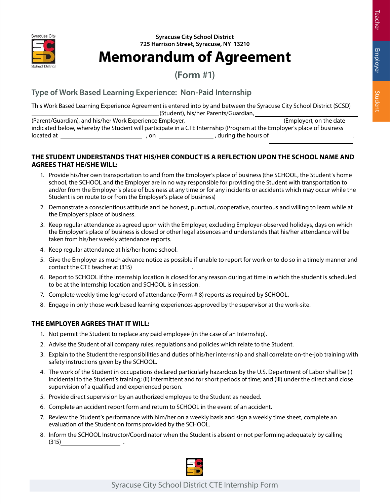

## **Memorandum of Agreement**

**(Form #1)**

#### **Type of Work Based Learning Experience: Non-Paid Internship**

This Work Based Learning Experience Agreement is entered into by and between the Syracuse City School District (SCSD) (Student), his/her Parents/Guardian,

(Parent/Guardian), and his/her Work Experience Employer, **Construction Construction** (Employer), on the date indicated below, whereby the Student will participate in a CTE Internship (Program at the Employer's place of business located at  $\qquad \qquad \qquad \qquad \qquad$  , on  $\qquad \qquad \qquad \qquad$  during the hours of

#### **THE STUDENT UNDERSTANDS THAT HIS/HER CONDUCT IS A REFLECTION UPON THE SCHOOL NAME AND AGREES THAT HE/SHE WILL:**

- 1. Provide his/her own transportation to and from the Employer's place of business (the SCHOOL, the Student's home school, the SCHOOL and the Employer are in no way responsible for providing the Student with transportation to and/or from the Employer's place of business at any time or for any incidents or accidents which may occur while the Student is on route to or from the Employer's place of business)
- 2. Demonstrate a conscientious attitude and be honest, punctual, cooperative, courteous and willing to learn while at the Employer's place of business.
- 3. Keep regular attendance as agreed upon with the Employer, excluding Employer-observed holidays, days on which the Employer's place of business is closed or other legal absences and understands that his/her attendance will be taken from his/her weekly attendance reports.
- 4. Keep regular attendance at his/her home school.
- 5. Give the Employer as much advance notice as possible if unable to report for work or to do so in a timely manner and contact the CTE teacher at (315) .
- 6. Report to SCHOOL if the Internship location is closed for any reason during at time in which the student is scheduled to be at the Internship location and SCHOOL is in session.
- 7. Complete weekly time log/record of attendance (Form # 8) reports as required by SCHOOL.
- 8. Engage in only those work based learning experiences approved by the supervisor at the work-site.

#### **THE EMPLOYER AGREES THAT IT WILL:**

- 1. Not permit the Student to replace any paid employee (in the case of an Internship).
- 2. Advise the Student of all company rules, regulations and policies which relate to the Student.
- 3. Explain to the Student the responsibilities and duties of his/her internship and shall correlate on-the-job training with safety instructions given by the SCHOOL.
- 4. The work of the Student in occupations declared particularly hazardous by the U.S. Department of Labor shall be (i) incidental to the Student's training; (ii) intermittent and for short periods of time; and (iii) under the direct and close supervision of a qualified and experienced person.
- 5. Provide direct supervision by an authorized employee to the Student as needed.
- 6. Complete an accident report form and return to SCHOOL in the event of an accident.
- 7. Review the Student's performance with him/her on a weekly basis and sign a weekly time sheet, complete an evaluation of the Student on forms provided by the SCHOOL.
- 8. Inform the SCHOOL Instructor/Coordinator when the Student is absent or not performing adequately by calling  $(315)$

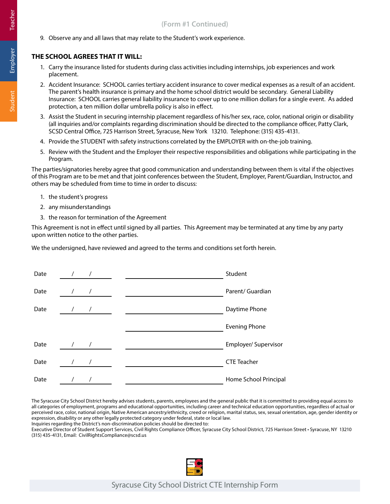9. Observe any and all laws that may relate to the Student's work experience.

#### **THE SCHOOL AGREES THAT IT WILL:**

- 1. Carry the insurance listed for students during class activities including internships, job experiences and work placement.
- 2. Accident Insurance: SCHOOL carries tertiary accident insurance to cover medical expenses as a result of an accident. The parent's health insurance is primary and the home school district would be secondary. General Liability Insurance: SCHOOL carries general liability insurance to cover up to one million dollars for a single event. As added protection, a ten million dollar umbrella policy is also in effect.
- 3. Assist the Student in securing internship placement regardless of his/her sex, race, color, national origin or disability (all inquiries and/or complaints regarding discrimination should be directed to the compliance officer, Patty Clark, SCSD Central Office, 725 Harrison Street, Syracuse, New York 13210. Telephone: (315) 435-4131.
- 4. Provide the STUDENT with safety instructions correlated by the EMPLOYER with on-the-job training.
- 5. Review with the Student and the Employer their respective responsibilities and obligations while participating in the Program.

The parties/signatories hereby agree that good communication and understanding between them is vital if the objectives of this Program are to be met and that joint conferences between the Student, Employer, Parent/Guardian, Instructor, and others may be scheduled from time to time in order to discuss:

- 1. the student's progress
- 2. any misunderstandings
- 3. the reason for termination of the Agreement

This Agreement is not in effect until signed by all parties. This Agreement may be terminated at any time by any party upon written notice to the other parties.

We the undersigned, have reviewed and agreed to the terms and conditions set forth herein.

| Date |            |               | Student               |
|------|------------|---------------|-----------------------|
| Date | $\sqrt{2}$ | $\sqrt{ }$    | Parent/ Guardian      |
| Date |            |               | Daytime Phone         |
|      |            |               | <b>Evening Phone</b>  |
| Date | $\sqrt{ }$ | $\frac{1}{2}$ | Employer/ Supervisor  |
| Date |            | $\sqrt{2}$    | <b>CTE Teacher</b>    |
| Date |            |               | Home School Principal |

The Syracuse City School District hereby advises students, parents, employees and the general public that it is committed to providing equal access to all categories of employment, programs and educational opportunities, including career and technical education opportunities, regardless of actual or perceived race, color, national origin, Native American ancestry/ethnicity, creed or religion, marital status, sex, sexual orientation, age, gender identity or expression, disability or any other legally protected category under federal, state or local law.

Inquiries regarding the District's non-discrimination policies should be directed to:

Executive Director of Student Support Services, Civil Rights Compliance Officer, Syracuse City School District, 725 Harrison Street • Syracuse, NY 13210 (315) 435-4131, Email: CivilRightsCompliance@scsd.us

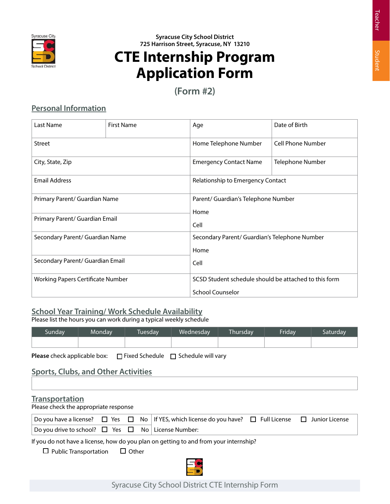

## **CTE Internship Program Application Form**

**(Form #2)**

#### **Personal Information**

| Last Name                         | <b>First Name</b> | Age                                                   | Date of Birth            |  |  |  |
|-----------------------------------|-------------------|-------------------------------------------------------|--------------------------|--|--|--|
| <b>Street</b>                     |                   | Home Telephone Number                                 | <b>Cell Phone Number</b> |  |  |  |
| City, State, Zip                  |                   | Telephone Number<br><b>Emergency Contact Name</b>     |                          |  |  |  |
| <b>Email Address</b>              |                   | Relationship to Emergency Contact                     |                          |  |  |  |
| Primary Parent/ Guardian Name     |                   | Parent/ Guardian's Telephone Number                   |                          |  |  |  |
| Primary Parent/ Guardian Email    |                   | Home<br>Cell                                          |                          |  |  |  |
| Secondary Parent/ Guardian Name   |                   | Secondary Parent/ Guardian's Telephone Number         |                          |  |  |  |
|                                   |                   | Home                                                  |                          |  |  |  |
| Secondary Parent/ Guardian Email  |                   | Cell                                                  |                          |  |  |  |
| Working Papers Certificate Number |                   | SCSD Student schedule should be attached to this form |                          |  |  |  |
|                                   |                   | <b>School Counselor</b>                               |                          |  |  |  |

#### **School Year Training/ Work Schedule Availability**

Please list the hours you can work during a typical weekly schedule

| Sunday. | Monday | Tuesday | Wednesday | <b>Thursday</b> | Friday | Saturdav |
|---------|--------|---------|-----------|-----------------|--------|----------|
|         |        |         |           |                 |        |          |

**Please** check applicable box: □ Fixed Schedule □ Schedule will vary

#### **Sports, Clubs, and Other Activities**

#### **Transportation**

Please check the appropriate response

|                                                                  |  |  | $\Box$ Do you have a license? $\Box$ Yes $\Box$ No $\Box$ If YES, which license do you have? $\Box$ Full License $\Box$ Junior License |  |
|------------------------------------------------------------------|--|--|----------------------------------------------------------------------------------------------------------------------------------------|--|
| $ $ Do you drive to school? $\Box$ Yes $\Box$ No License Number: |  |  |                                                                                                                                        |  |

If you do not have a license, how do you plan on getting to and from your internship?

 $\Box$  Public Transportation  $\Box$  Other

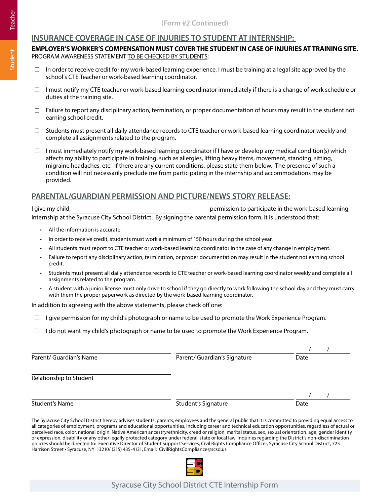#### **INSURANCE COVERAGE IN CASE OF INJURIES TO STUDENT AT INTERNSHIP:**

#### **EMPLOYER'S WORKER'S COMPENSATION MUST COVER THE STUDENT IN CASE OF INJURIES AT TRAINING SITE.** PROGRAM AWARENESS STATEMENT TO BE CHECKED BY STUDENTS:

- ☐ In order to receive credit for my work-based learning experience, I must be training at a legal site approved by the school's CTE Teacher or work-based learning coordinator.
- ☐ I must notify my CTE teacher or work-based learning coordinator immediately if there is a change of work schedule or duties at the training site.
- $\square$  Failure to report any disciplinary action, termination, or proper documentation of hours may result in the student not earning school credit.
- ☐ Students must present all daily attendance records to CTE teacher or work-based learning coordinator weekly and complete all assignments related to the program.
- $\Box$  I must immediately notify my work-based learning coordinator if I have or develop any medical condition(s) which affects my ability to participate in training, such as allergies, lifting heavy items, movement, standing, sitting, migraine headaches, etc. If there are any current conditions, please state them below. The presence of such a condition will not necessarily preclude me from participating in the internship and accommodations may be provided.

#### **PARENTAL/GUARDIAN PERMISSION AND PICTURE/NEWS STORY RELEASE:**

I give my child, permission to participate in the work-based learning internship at the Syracuse City School District. By signing the parental permission form, it is understood that:

- All the information is accurate.
- In order to receive credit, students must work a minimum of 150 hours during the school year.
- All students must report to CTE teacher or work-based learning coordinator in the case of any change in employment.
- Failure to report any disciplinary action, termination, or proper documentation may result in the student not earning school credit.
- Students must present all daily attendance records to CTE teacher or work-based learning coordinator weekly and complete all assignments related to the program.
- A student with a junior license must only drive to school if they go directly to work following the school day and they must carry with them the proper paperwork as directed by the work-based learning coordinator.

In addition to agreeing with the above statements, please check off one:

- □ I give permission for my child's photograph or name to be used to promote the Work Experience Program.
- ☐ I do not want my child's photograph or name to be used to promote the Work Experience Program.

The Syracuse City School District hereby advises students, parents, employees and the general public that it is committed to providing equal access to all categories of employment, programs and educational opportunities, including career and technical education opportunities, regardless of actual or perceived race, color, national origin, Native American ancestry/ethnicity, creed or religion, marital status, sex, sexual orientation, age, gender identity or expression, disability or any other legally protected category under federal, state or local law. Inquiries regarding the District's non-discrimination policies should be directed to: Executive Director of Student Support Services, Civil Rights Compliance Officer, Syracuse City School District, 725 Harrison Street • Syracuse, NY 13210/ (315) 435-4131, Email: CivilRightsCompliance@scsd.us

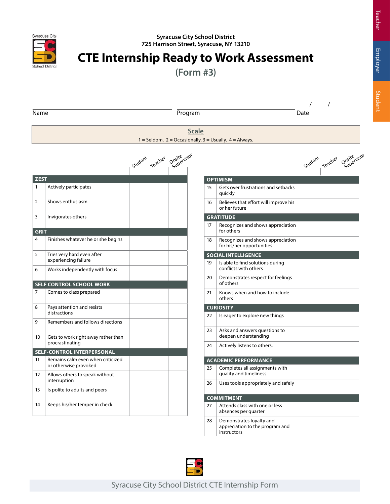

## **CTE Internship Ready to Work Assessment**

**(Form #3)**

|             |                                                            |         |         |                          |    |                                                                |      | $\prime$        |                          |
|-------------|------------------------------------------------------------|---------|---------|--------------------------|----|----------------------------------------------------------------|------|-----------------|--------------------------|
| Name        |                                                            |         |         | Program                  |    |                                                                | Date |                 |                          |
|             |                                                            |         |         | <b>Scale</b>             |    | $1 =$ Seldom. 2 = Occasionally. 3 = Usually. 4 = Always.       |      |                 |                          |
|             |                                                            | Student | Teacher | Onsite <sub>rvisor</sub> |    |                                                                |      | student reacher | Onsite <sub>rvisor</sub> |
| <b>ZEST</b> |                                                            |         |         |                          |    | <b>OPTIMISM</b>                                                |      |                 |                          |
| 1           | Actively participates                                      |         |         |                          | 15 | Gets over frustrations and setbacks<br>quickly                 |      |                 |                          |
| 2           | Shows enthusiasm                                           |         |         |                          | 16 | Believes that effort will improve his<br>or her future         |      |                 |                          |
| 3           | Invigorates others                                         |         |         |                          |    | <b>GRATITUDE</b>                                               |      |                 |                          |
| <b>GRIT</b> |                                                            |         |         |                          | 17 | Recognizes and shows appreciation<br>for others                |      |                 |                          |
| 4           | Finishes whatever he or she begins                         |         |         |                          | 18 | Recognizes and shows appreciation<br>for his/her opportunities |      |                 |                          |
| 5           | Tries very hard even after                                 |         |         |                          |    | <b>SOCIAL INTELLIGENCE</b>                                     |      |                 |                          |
| 6           | experiencing failure<br>Works independently with focus     |         |         |                          | 19 | Is able to find solutions during<br>conflicts with others      |      |                 |                          |
|             | <b>SELF CONTROL SCHOOL WORK</b>                            |         |         |                          | 20 | Demonstrates respect for feelings<br>of others                 |      |                 |                          |
| 7           | Comes to class prepared                                    |         |         |                          | 21 | Knows when and how to include<br>others                        |      |                 |                          |
| 8           | Pays attention and resists                                 |         |         |                          |    | <b>CURIOSITY</b>                                               |      |                 |                          |
| 9           | distractions<br>Remembers and follows directions           |         |         |                          | 22 | Is eager to explore new things                                 |      |                 |                          |
|             |                                                            |         |         |                          | 23 | Asks and answers questions to                                  |      |                 |                          |
| 10          | Gets to work right away rather than<br>procrastinating     |         |         |                          | 24 | deepen understanding<br>Actively listens to others.            |      |                 |                          |
|             | <b>SELF-CONTROL INTERPERSONAL</b>                          |         |         |                          |    |                                                                |      |                 |                          |
| 11          | Remains calm even when criticized<br>or otherwise provoked |         |         |                          |    | <b>ACADEMIC PERFORMANCE</b>                                    |      |                 |                          |
| 12          | Allows others to speak without                             |         |         |                          | 25 | Completes all assignments with<br>quality and timeliness       |      |                 |                          |
|             | interruption                                               |         |         |                          | 26 | Uses tools appropriately and safely                            |      |                 |                          |
| 13          | Is polite to adults and peers                              |         |         |                          |    | <b>COMMITMENT</b>                                              |      |                 |                          |
| 14          | Keeps his/her temper in check                              |         |         |                          | 27 | Attends class with one or less<br>absences per quarter         |      |                 |                          |
|             |                                                            |         |         |                          | ገହ | Domonstratos lovalty and                                       |      |                 |                          |

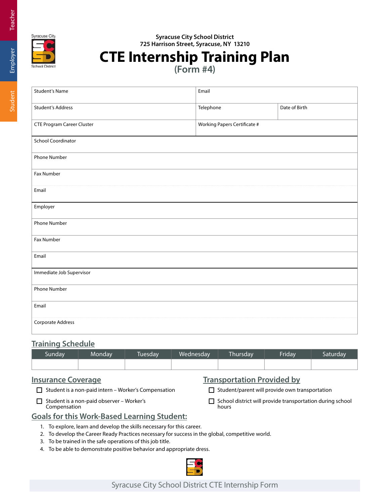



## **CTE Internship Training Plan**

**(Form #4)**

| <b>Student's Name</b>             | Email                        |               |
|-----------------------------------|------------------------------|---------------|
| <b>Student's Address</b>          | Telephone                    | Date of Birth |
| <b>CTE Program Career Cluster</b> | Working Papers Certificate # |               |
| <b>School Coordinator</b>         |                              |               |
| Phone Number                      |                              |               |
| Fax Number                        |                              |               |
| Email                             |                              |               |
| Employer                          |                              |               |
| Phone Number                      |                              |               |
| Fax Number                        |                              |               |
| Email                             |                              |               |
| Immediate Job Supervisor          |                              |               |
| <b>Phone Number</b>               |                              |               |
| Email                             |                              |               |
| Corporate Address                 |                              |               |

#### **Training Schedule**

| Sunday | Mondav | <b>Tuesday</b> | Wednesday | Thursday | Friday | Saturdav |
|--------|--------|----------------|-----------|----------|--------|----------|
|        |        |                |           |          |        |          |

#### **Insurance Coverage**

 $\Box$  Student is a non-paid intern – Worker's Compensation

 $\Box$  Student is a non-paid observer – Worker's Compensation

|  |  | <b>Transportation Provided by</b> |  |  |
|--|--|-----------------------------------|--|--|
|--|--|-----------------------------------|--|--|

 $\Box$  Student/parent will provide own transportation

 $\Box$  School district will provide transportation during school hours

#### **Goals for this Work-Based Learning Student:**

- 1. To explore, learn and develop the skills necessary for this career.
- 2. To develop the Career Ready Practices necessary for success in the global, competitive world.
- 3. To be trained in the safe operations of this job title.
- 4. To be able to demonstrate positive behavior and appropriate dress.



# Student Employer Teacher Student Employer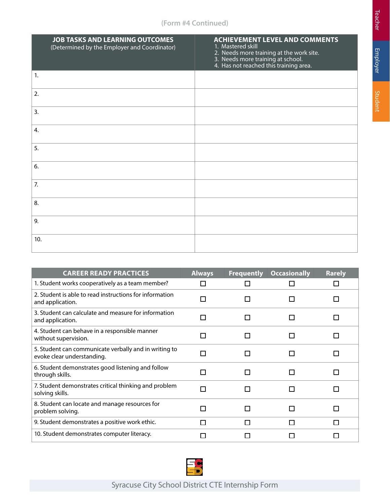#### **(Form #4 Continued)**

|     | <b>JOB TASKS AND LEARNING OUTCOMES</b><br>(Determined by the Employer and Coordinator) | <b>ACHIEVEMENT LEVEL AND COMMENTS</b><br>1. Mastered skill<br>2. Needs more training at the work site.<br>3. Needs more training at school.<br>4. Has not reached this training area. |
|-----|----------------------------------------------------------------------------------------|---------------------------------------------------------------------------------------------------------------------------------------------------------------------------------------|
| 1.  |                                                                                        |                                                                                                                                                                                       |
| 2.  |                                                                                        |                                                                                                                                                                                       |
| 3.  |                                                                                        |                                                                                                                                                                                       |
| 4.  |                                                                                        |                                                                                                                                                                                       |
| 5.  |                                                                                        |                                                                                                                                                                                       |
| 6.  |                                                                                        |                                                                                                                                                                                       |
| 7.  |                                                                                        |                                                                                                                                                                                       |
| 8.  |                                                                                        |                                                                                                                                                                                       |
| 9.  |                                                                                        |                                                                                                                                                                                       |
| 10. |                                                                                        |                                                                                                                                                                                       |

| <b>CAREER READY PRACTICES</b>                                                       | <b>Always</b> | <b>Frequently</b> | <b>Occasionally</b> | <b>Rarely</b> |
|-------------------------------------------------------------------------------------|---------------|-------------------|---------------------|---------------|
| 1. Student works cooperatively as a team member?                                    |               |                   |                     |               |
| 2. Student is able to read instructions for information<br>and application.         |               | $\mathsf{L}$      | П                   |               |
| 3. Student can calculate and measure for information<br>and application.            |               |                   | П                   |               |
| 4. Student can behave in a responsible manner<br>without supervision.               |               |                   | П                   |               |
| 5. Student can communicate verbally and in writing to<br>evoke clear understanding. |               |                   | П                   |               |
| 6. Student demonstrates good listening and follow<br>through skills.                |               |                   | <b>Talent</b>       |               |
| 7. Student demonstrates critical thinking and problem<br>solving skills.            |               |                   | n                   |               |
| 8. Student can locate and manage resources for<br>problem solving.                  |               |                   | $\mathcal{L}$       |               |
| 9. Student demonstrates a positive work ethic.                                      |               | l I               | П                   |               |
| 10. Student demonstrates computer literacy.                                         |               |                   |                     |               |

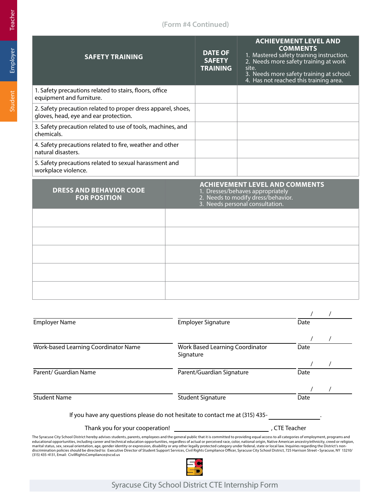#### **(Form #4 Continued)**

| <b>SAFETY TRAINING</b>                                                                                |  | <b>DATE OF</b><br><b>SAFETY</b><br><b>TRAINING</b> | <b>ACHIEVEMENT LEVEL AND</b><br><b>COMMENTS</b><br>1. Mastered safety training instruction.<br>2. Needs more safety training at work<br>site.<br>3. Needs more safety training at school.<br>4. Has not reached this training area. |
|-------------------------------------------------------------------------------------------------------|--|----------------------------------------------------|-------------------------------------------------------------------------------------------------------------------------------------------------------------------------------------------------------------------------------------|
| 1. Safety precautions related to stairs, floors, office<br>equipment and furniture.                   |  |                                                    |                                                                                                                                                                                                                                     |
| 2. Safety precaution related to proper dress apparel, shoes,<br>gloves, head, eye and ear protection. |  |                                                    |                                                                                                                                                                                                                                     |
| 3. Safety precaution related to use of tools, machines, and<br>chemicals.                             |  |                                                    |                                                                                                                                                                                                                                     |
| 4. Safety precautions related to fire, weather and other<br>natural disasters.                        |  |                                                    |                                                                                                                                                                                                                                     |
| 5. Safety precautions related to sexual harassment and<br>workplace violence.                         |  |                                                    |                                                                                                                                                                                                                                     |
| <b>DRESS AND BEHAVIOR CODE</b><br><b>FOR POSITION</b>                                                 |  |                                                    | <b>ACHIEVEMENT LEVEL AND COMMENTS</b><br>1. Dresses/behaves appropriately<br>2. Needs to modify dress/behavior.<br>3. Needs personal consultation.                                                                                  |
|                                                                                                       |  |                                                    |                                                                                                                                                                                                                                     |
|                                                                                                       |  |                                                    |                                                                                                                                                                                                                                     |
|                                                                                                       |  |                                                    |                                                                                                                                                                                                                                     |
|                                                                                                       |  |                                                    |                                                                                                                                                                                                                                     |

| Employer Name                                                                                                                                                                                                                                                                                                                                                                                                                                                                                                                                                                                                                                                                                                                                                                                                                                                                                    | <b>Employer Signature</b>                    | Date          |  |
|--------------------------------------------------------------------------------------------------------------------------------------------------------------------------------------------------------------------------------------------------------------------------------------------------------------------------------------------------------------------------------------------------------------------------------------------------------------------------------------------------------------------------------------------------------------------------------------------------------------------------------------------------------------------------------------------------------------------------------------------------------------------------------------------------------------------------------------------------------------------------------------------------|----------------------------------------------|---------------|--|
|                                                                                                                                                                                                                                                                                                                                                                                                                                                                                                                                                                                                                                                                                                                                                                                                                                                                                                  |                                              |               |  |
| Work-based Learning Coordinator Name                                                                                                                                                                                                                                                                                                                                                                                                                                                                                                                                                                                                                                                                                                                                                                                                                                                             | Work Based Learning Coordinator<br>Signature | Date          |  |
|                                                                                                                                                                                                                                                                                                                                                                                                                                                                                                                                                                                                                                                                                                                                                                                                                                                                                                  |                                              |               |  |
| Parent/ Guardian Name                                                                                                                                                                                                                                                                                                                                                                                                                                                                                                                                                                                                                                                                                                                                                                                                                                                                            | Parent/Guardian Signature                    | Date          |  |
|                                                                                                                                                                                                                                                                                                                                                                                                                                                                                                                                                                                                                                                                                                                                                                                                                                                                                                  |                                              |               |  |
| <b>Student Name</b>                                                                                                                                                                                                                                                                                                                                                                                                                                                                                                                                                                                                                                                                                                                                                                                                                                                                              | Student Signature                            | Date          |  |
| If you have any questions please do not hesitate to contact me at (315) 435-                                                                                                                                                                                                                                                                                                                                                                                                                                                                                                                                                                                                                                                                                                                                                                                                                     |                                              |               |  |
| Thank you for your cooperation!                                                                                                                                                                                                                                                                                                                                                                                                                                                                                                                                                                                                                                                                                                                                                                                                                                                                  |                                              | . CTE Teacher |  |
| The Syracuse City School District hereby advises students, parents, employees and the general public that it is committed to providing equal access to all categories of employment, programs and<br>educational opportunities, including career and technical education opportunities, regardless of actual or perceived race, color, national origin, Native American ancestry/ethnicity, creed or religion,<br>marital status, sex, sexual orientation, age, gender identity or expression, disability or any other legally protected category under federal, state or local law. Inquiries regarding the District's non-<br>discrimination policies should be directed to: Executive Director of Student Support Services, Civil Rights Compliance Officer, Syracuse City School District, 725 Harrison Street · Syracuse, NY 13210/<br>(315) 435-4131, Email: CivilRightsCompliance@scsd.us |                                              |               |  |

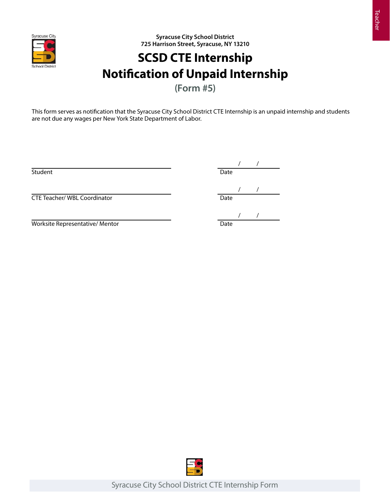

## **SCSD CTE Internship Notification of Unpaid Internship**

**(Form #5)**

This form serves as notification that the Syracuse City School District CTE Internship is an unpaid internship and students are not due any wages per New York State Department of Labor.

Student **Date** 

 $\begin{array}{c|c} & / & / \\ \hline \text{Date} & & \end{array}$ 

 $\frac{1}{\sqrt{1-\frac{1}{2}}}\frac{1}{\sqrt{1-\frac{1}{2}}}\frac{1}{\sqrt{1-\frac{1}{2}}}\frac{1}{\sqrt{1-\frac{1}{2}}}\frac{1}{\sqrt{1-\frac{1}{2}}}\frac{1}{\sqrt{1-\frac{1}{2}}}\frac{1}{\sqrt{1-\frac{1}{2}}}\frac{1}{\sqrt{1-\frac{1}{2}}}\frac{1}{\sqrt{1-\frac{1}{2}}}\frac{1}{\sqrt{1-\frac{1}{2}}}\frac{1}{\sqrt{1-\frac{1}{2}}}\frac{1}{\sqrt{1-\frac{1}{2}}}\frac{1}{\sqrt{1-\frac{1}{2}}}\frac{1}{\sqrt{1-\frac{$ 

Worksite Representative/ Mentor

CTE Teacher/ WBL Coordinator

 $\begin{array}{c|c} & / & / \\ \hline \text{Date} & & \\ \end{array}$ 

Teacher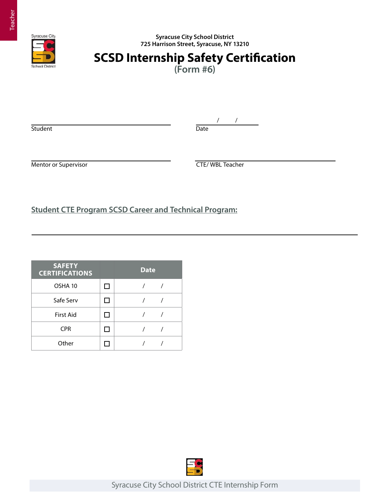

## **SCSD Internship Safety Certification**

**(Form #6)**

Student Date

/ /

Mentor or Supervisor **CTE/ WBL Teacher** 

**Student CTE Program SCSD Career and Technical Program:**

| <b>SAFETY</b><br><b>CERTIFICATIONS</b> |              | <b>Date</b> |  |
|----------------------------------------|--------------|-------------|--|
| OSHA 10                                | $\mathbf{I}$ |             |  |
| Safe Serv                              |              |             |  |
| <b>First Aid</b>                       |              |             |  |
| <b>CPR</b>                             |              |             |  |
| Other                                  |              |             |  |

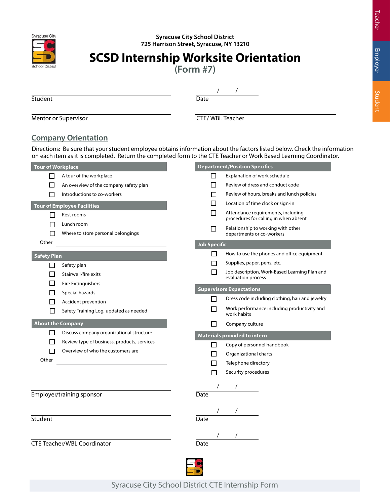

## **SCSD Internship Worksite Orientation**

**(Form #7)**

Student Date

/ /

Mentor or Supervisor **CTE/ WBL Teacher** 

#### **Company Orientation**

Directions: Be sure that your student employee obtains information about the factors listed below. Check the information on each item as it is completed. Return the completed form to the CTE Teacher or Work Based Learning Coordinator.

| <b>Tour of Workplace</b> |                                                  |              | <b>Department/Position Specifics</b>                                        |
|--------------------------|--------------------------------------------------|--------------|-----------------------------------------------------------------------------|
| ΙI                       | A tour of the workplace                          | П            | Explanation of work schedule                                                |
| П                        | An overview of the company safety plan           | П            | Review of dress and conduct code                                            |
|                          | Introductions to co-workers                      | П            | Review of hours, breaks and lunch policies                                  |
|                          | <b>Tour of Employee Facilities</b>               | П            | Location of time clock or sign-in                                           |
| П                        | Rest rooms                                       | П            | Attendance requirements, including<br>procedures for calling in when absent |
|                          | Lunch room<br>Where to store personal belongings | $\mathbf{I}$ | Relationship to working with other<br>departments or co-workers             |
| Other                    |                                                  | Job Specific |                                                                             |
| <b>Safety Plan</b>       |                                                  | □            | How to use the phones and office equipment                                  |
| П                        | Safety plan                                      | ⊓            | Supplies, paper, pens, etc.                                                 |
| П                        | Stairwell/fire exits                             | П            | Job description, Work-Based Learning Plan and<br>evaluation process         |
| П                        | <b>Fire Extinguishers</b>                        |              |                                                                             |
| $\blacksquare$           | Special hazards                                  |              | <b>Supervisors Expectations</b>                                             |
|                          | Accident prevention                              | П            | Dress code including clothing, hair and jewelry                             |
| ΙI                       | Safety Training Log, updated as needed           |              | Work performance including productivity and<br>work habits                  |
| <b>About the Company</b> |                                                  | ΙI           | Company culture                                                             |
| U                        | Discuss company organizational structure         |              | <b>Materials provided to intern</b>                                         |
| П                        | Review type of business, products, services      | $\Box$       | Copy of personnel handbook                                                  |
|                          | Overview of who the customers are                | П            | Organizational charts                                                       |
| Other                    |                                                  | П            | Telephone directory                                                         |
|                          |                                                  | п            | Security procedures                                                         |
|                          |                                                  |              |                                                                             |
|                          | Employer/training sponsor                        | Date         |                                                                             |
|                          |                                                  |              |                                                                             |
| Student                  |                                                  | Date         |                                                                             |
|                          |                                                  |              |                                                                             |
|                          | <b>CTE Teacher/WBL Coordinator</b>               | Date         |                                                                             |
|                          |                                                  |              |                                                                             |
|                          |                                                  |              |                                                                             |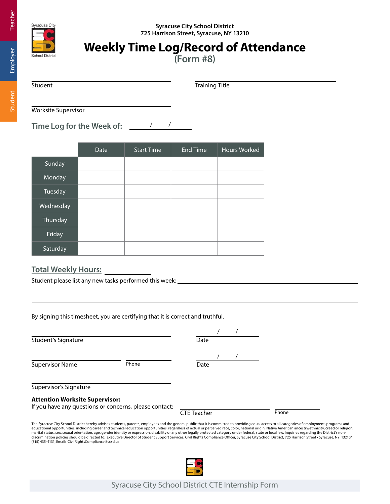Teacher

Student

#### **Syracuse City School District 725 Harrison Street, Syracuse, NY 13210**



vracuse City

## **Weekly Time Log/Record of Attendance**

**(Form #8)**

Student Training Title

Worksite Supervisor

**Time Log for the Week of:** / /

|           | Date | <b>Start Time</b> | <b>End Time</b> | <b>Hours Worked</b> |
|-----------|------|-------------------|-----------------|---------------------|
| Sunday    |      |                   |                 |                     |
| Monday    |      |                   |                 |                     |
| Tuesday   |      |                   |                 |                     |
| Wednesday |      |                   |                 |                     |
| Thursday  |      |                   |                 |                     |
| Friday    |      |                   |                 |                     |
| Saturday  |      |                   |                 |                     |

#### **Total Weekly Hours:**

Student please list any new tasks performed this week:

By signing this timesheet, you are certifying that it is correct and truthful.

Student's Signature

Supervisor Name Phone

| Date |  |  |
|------|--|--|
|      |  |  |
| Date |  |  |

Supervisor's Signature

#### **Attention Worksite Supervisor:**

If you have any questions or concerns, please contact:

CTE Teacher Phone

The Syracuse City School District hereby advises students, parents, employees and the general public that it is committed to providing equal access to all categories of employment, programs and educational opportunities, including career and technical education opportunities, regardless of actual or perceived race, color, national origin, Native American ancestry/ethnicity, creed or religion, marital status, sex, sexual orientation, age, gender identity or expression, disability or any other legally protected category under federal, state or local law. Inquiries regarding the District's non-<br>discrimination poli (315) 435-4131, Email: CivilRightsCompliance@scsd.us

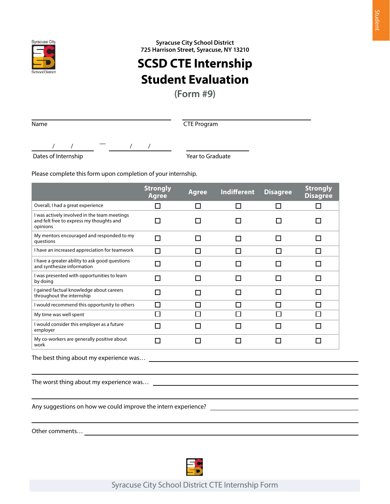

**725 Harrison Street, Syracuse, NY 13210 SCSD CTE Internship Student Evaluation**

**(Form #9)**

CTE Program

Dates of Internship

Year to Graduate

Please complete this form upon completion of your internship.

/ / — / /

|                                                                                                      | <b>Strongly</b><br><b>Agree</b> | <b>Agree</b> | <b>Indifferent</b> | <b>Disagree</b> | <b>Strongly</b><br><b>Disagree</b> |  |  |
|------------------------------------------------------------------------------------------------------|---------------------------------|--------------|--------------------|-----------------|------------------------------------|--|--|
| Overall, I had a great experience                                                                    | П                               | П            | $\Box$             | П               | П                                  |  |  |
| I was actively involved in the team meetings<br>and felt free to express my thoughts and<br>opinions | П                               | H            |                    |                 |                                    |  |  |
| My mentors encouraged and responded to my<br>questions                                               | П                               | П            | П                  | П               | П                                  |  |  |
| I have an increased appreciation for teamwork                                                        | П                               | П            | П                  | П               | П                                  |  |  |
| I have a greater ability to ask good questions<br>and synthesize information                         | П                               | H            | H                  | П               | $\Box$                             |  |  |
| I was presented with opportunities to learn<br>by doing                                              | П                               | П            | П                  | П               |                                    |  |  |
| I gained factual knowledge about careers<br>throughout the internship                                | П                               | П            | $\Box$             | П               | $\mathsf{L}$                       |  |  |
| I would recommend this opportunity to others                                                         | □                               | П            | $\Box$             | П               | П                                  |  |  |
| My time was well spent                                                                               | П                               | П            | П                  | П               | $\Box$                             |  |  |
| I would consider this employer as a future<br>employer                                               | П                               | П            | П                  | П               |                                    |  |  |
| My co-workers are generally positive about<br>work                                                   | П                               | П            | П                  | П               |                                    |  |  |
| The best thing about my experience was                                                               |                                 |              |                    |                 |                                    |  |  |
|                                                                                                      |                                 |              |                    |                 |                                    |  |  |
| Any suggestions on how we could improve the intern experience?                                       |                                 |              |                    |                 |                                    |  |  |

Other comments…

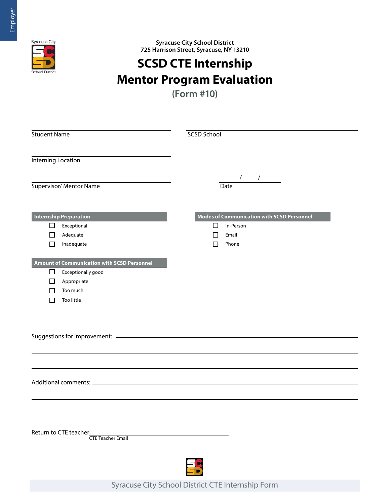

## **SCSD CTE Internship Mentor Program Evaluation**

**(Form #10)**

| <b>Student Name</b>                         | <b>SCSD School</b>                                |
|---------------------------------------------|---------------------------------------------------|
|                                             |                                                   |
| <b>Interning Location</b>                   |                                                   |
|                                             | $\frac{1}{2}$                                     |
| Supervisor/ Mentor Name                     | Date                                              |
|                                             |                                                   |
| <b>Internship Preparation</b>               | <b>Modes of Communication with SCSD Personnel</b> |
| □<br>Exceptional                            | □<br>In-Person                                    |
| Adequate<br>LΙ                              | Email<br>ΙI                                       |
| Inadequate<br>$\mathsf{L}$                  | Phone<br>П                                        |
| Amount of Communication with SCSD Personnel |                                                   |
| $\Box$<br>Exceptionally good                |                                                   |
| Appropriate<br>ப                            |                                                   |
| Too much                                    |                                                   |
| Too little                                  |                                                   |
|                                             |                                                   |
|                                             |                                                   |
|                                             |                                                   |
|                                             |                                                   |
|                                             |                                                   |
|                                             |                                                   |
|                                             |                                                   |
|                                             |                                                   |
|                                             |                                                   |
| Return to CTE teacher:                      |                                                   |
| <b>CTE Teacher Email</b>                    |                                                   |
|                                             |                                                   |
|                                             |                                                   |
|                                             |                                                   |